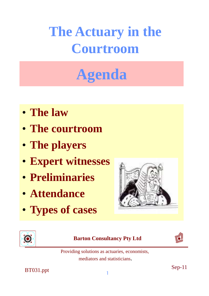## **Agenda**

- **The law**
- **The courtroom**
- **The players**
- **Expert witnesses**
- **Preliminaries**
- **Attendance**
- **Types of cases**





#### **Barton Consultancy Pty Ltd**



Providing solutions as actuaries, economists, mediators and statisticians.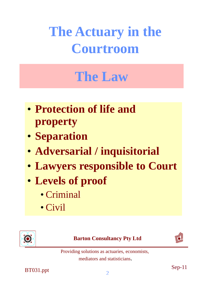## **The Law**

- **Protection of life and property**
- **Separation**
- **Adversarial / inquisitorial**
- **Lawyers responsible to Court**
- **Levels of proof**
	- Criminal
	- Civil



**Barton Consultancy Pty Ltd**



Providing solutions as actuaries, economists, mediators and statisticians.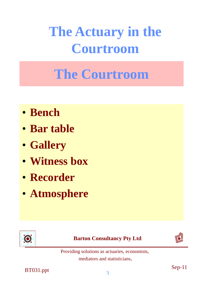## **The Courtroom**

- **Bench**
- **Bar table**
- **Gallery**
- **Witness box**
- **Recorder**
- **Atmosphere**



#### **Barton Consultancy Pty Ltd**



Providing solutions as actuaries, economists, mediators and statisticians.

 $\frac{1}{2}$  Sep-11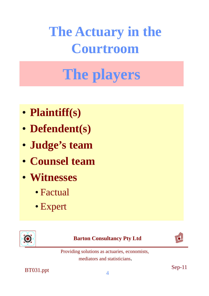# **The players**

- **Plaintiff(s)**
- **Defendent(s)**
- **Judge's team**
- **Counsel team**
- **Witnesses**
	- Factual
	- Expert



**Barton Consultancy Pty Ltd**



Providing solutions as actuaries, economists, mediators and statisticians.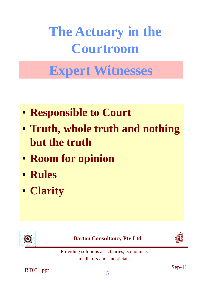### **Expert Witnesses**

- **Responsible to Court**
- **Truth, whole truth and nothing but the truth**
- **Room for opinion**
- **Rules**
- **Clarity**



**Barton Consultancy Pty Ltd**



Providing solutions as actuaries, economists, mediators and statisticians.

 $\frac{1}{5}$  Sep-11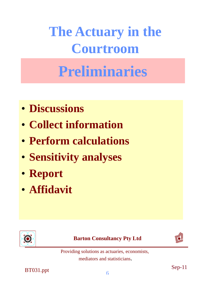### **Preliminaries**

- **Discussions**
- **Collect information**
- **Perform calculations**
- **Sensitivity analyses**
- **Report**
- **Affidavit**







Providing solutions as actuaries, economists, mediators and statisticians.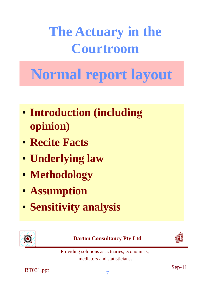## **Normal report layout**

- **Introduction (including opinion)**
- **Recite Facts**
- **Underlying law**
- **Methodology**
- **Assumption**
- **Sensitivity analysis**



#### **Barton Consultancy Pty Ltd**



Providing solutions as actuaries, economists, mediators and statisticians.

 $\frac{1}{2}$  Sep-11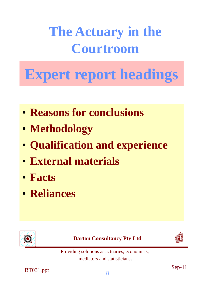# **Expert report headings**

- **Reasons for conclusions**
- **Methodology**
- **Qualification and experience**
- **External materials**
- **Facts**
- **Reliances**



**Barton Consultancy Pty Ltd**



Providing solutions as actuaries, economists, mediators and statisticians.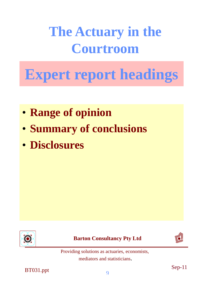## **Expert report headings**

- **Range of opinion**
- **Summary of conclusions**
- **Disclosures**



**Barton Consultancy Pty Ltd**



Providing solutions as actuaries, economists, mediators and statisticians.

 $B T 031.$ ppt  $\text{Sep-11}$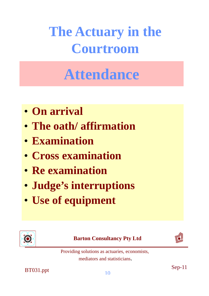## **Attendance**

- **On arrival**
- **The oath/ affirmation**
- **Examination**
- **Cross examination**
- **Re examination**
- **Judge's interruptions**
- **Use of equipment**



#### **Barton Consultancy Pty Ltd**



Providing solutions as actuaries, economists, mediators and statisticians.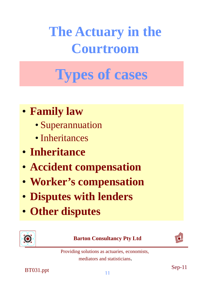# **Types of cases**

- **Family law**
	- Superannuation
	- Inheritances
- **Inheritance**
- **Accident compensation**
- **Worker's compensation**
- **Disputes with lenders**
- **Other disputes**



#### **Barton Consultancy Pty Ltd**



Providing solutions as actuaries, economists, mediators and statisticians.

 $B T 031.$ ppt  $\text{Sep-11}$